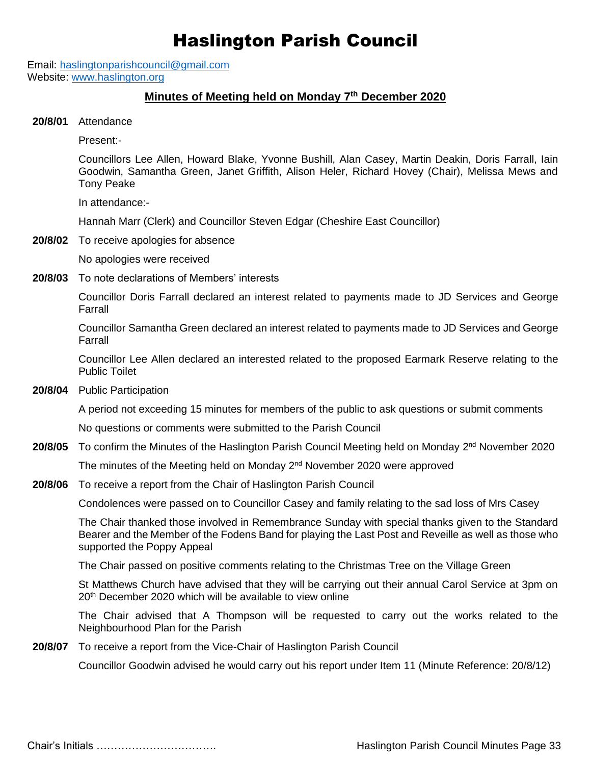# Haslington Parish Council

Email: [haslingtonparishcouncil@gmail.com](mailto:haslingtonparishcouncil@gmail.com) Website: [www.haslington.org](http://www.haslington.org/)

### **Minutes of Meeting held on Monday 7 th December 2020**

**20/8/01** Attendance

Present:-

Councillors Lee Allen, Howard Blake, Yvonne Bushill, Alan Casey, Martin Deakin, Doris Farrall, Iain Goodwin, Samantha Green, Janet Griffith, Alison Heler, Richard Hovey (Chair), Melissa Mews and Tony Peake

In attendance:-

Hannah Marr (Clerk) and Councillor Steven Edgar (Cheshire East Councillor)

**20/8/02** To receive apologies for absence

No apologies were received

**20/8/03** To note declarations of Members' interests

Councillor Doris Farrall declared an interest related to payments made to JD Services and George Farrall

Councillor Samantha Green declared an interest related to payments made to JD Services and George Farrall

Councillor Lee Allen declared an interested related to the proposed Earmark Reserve relating to the Public Toilet

**20/8/04** Public Participation

A period not exceeding 15 minutes for members of the public to ask questions or submit comments

No questions or comments were submitted to the Parish Council

20/8/05 To confirm the Minutes of the Haslington Parish Council Meeting held on Monday 2<sup>nd</sup> November 2020

The minutes of the Meeting held on Monday 2<sup>nd</sup> November 2020 were approved

**20/8/06** To receive a report from the Chair of Haslington Parish Council

Condolences were passed on to Councillor Casey and family relating to the sad loss of Mrs Casey

The Chair thanked those involved in Remembrance Sunday with special thanks given to the Standard Bearer and the Member of the Fodens Band for playing the Last Post and Reveille as well as those who supported the Poppy Appeal

The Chair passed on positive comments relating to the Christmas Tree on the Village Green

St Matthews Church have advised that they will be carrying out their annual Carol Service at 3pm on 20th December 2020 which will be available to view online

The Chair advised that A Thompson will be requested to carry out the works related to the Neighbourhood Plan for the Parish

**20/8/07** To receive a report from the Vice-Chair of Haslington Parish Council

Councillor Goodwin advised he would carry out his report under Item 11 (Minute Reference: 20/8/12)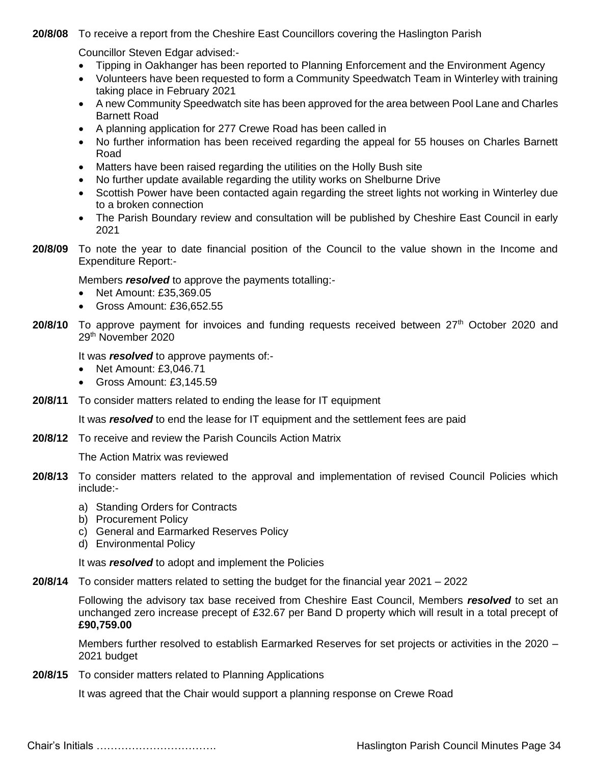**20/8/08** To receive a report from the Cheshire East Councillors covering the Haslington Parish

Councillor Steven Edgar advised:-

- Tipping in Oakhanger has been reported to Planning Enforcement and the Environment Agency
- Volunteers have been requested to form a Community Speedwatch Team in Winterley with training taking place in February 2021
- A new Community Speedwatch site has been approved for the area between Pool Lane and Charles Barnett Road
- A planning application for 277 Crewe Road has been called in
- No further information has been received regarding the appeal for 55 houses on Charles Barnett Road
- Matters have been raised regarding the utilities on the Holly Bush site
- No further update available regarding the utility works on Shelburne Drive
- Scottish Power have been contacted again regarding the street lights not working in Winterley due to a broken connection
- The Parish Boundary review and consultation will be published by Cheshire East Council in early 2021
- **20/8/09** To note the year to date financial position of the Council to the value shown in the Income and Expenditure Report:-

Members *resolved* to approve the payments totalling:-

- Net Amount: £35,369.05
- Gross Amount: £36,652.55
- **20/8/10** To approve payment for invoices and funding requests received between 27<sup>th</sup> October 2020 and 29th November 2020

It was *resolved* to approve payments of:-

- Net Amount: £3,046.71
- Gross Amount: £3,145.59
- **20/8/11** To consider matters related to ending the lease for IT equipment

It was *resolved* to end the lease for IT equipment and the settlement fees are paid

**20/8/12** To receive and review the Parish Councils Action Matrix

The Action Matrix was reviewed

- **20/8/13** To consider matters related to the approval and implementation of revised Council Policies which include:
	- a) Standing Orders for Contracts
	- b) Procurement Policy
	- c) General and Earmarked Reserves Policy
	- d) Environmental Policy

It was *resolved* to adopt and implement the Policies

**20/8/14** To consider matters related to setting the budget for the financial year 2021 – 2022

Following the advisory tax base received from Cheshire East Council, Members *resolved* to set an unchanged zero increase precept of £32.67 per Band D property which will result in a total precept of **£90,759.00**

Members further resolved to establish Earmarked Reserves for set projects or activities in the 2020 – 2021 budget

**20/8/15** To consider matters related to Planning Applications

It was agreed that the Chair would support a planning response on Crewe Road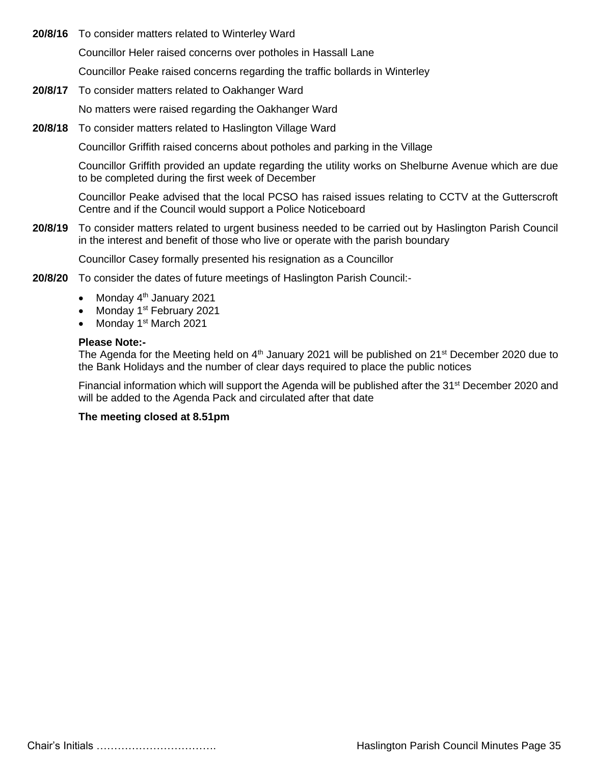- **20/8/16** To consider matters related to Winterley Ward Councillor Heler raised concerns over potholes in Hassall Lane Councillor Peake raised concerns regarding the traffic bollards in Winterley
- **20/8/17** To consider matters related to Oakhanger Ward No matters were raised regarding the Oakhanger Ward
- **20/8/18** To consider matters related to Haslington Village Ward

Councillor Griffith raised concerns about potholes and parking in the Village

Councillor Griffith provided an update regarding the utility works on Shelburne Avenue which are due to be completed during the first week of December

Councillor Peake advised that the local PCSO has raised issues relating to CCTV at the Gutterscroft Centre and if the Council would support a Police Noticeboard

**20/8/19** To consider matters related to urgent business needed to be carried out by Haslington Parish Council in the interest and benefit of those who live or operate with the parish boundary

Councillor Casey formally presented his resignation as a Councillor

- **20/8/20** To consider the dates of future meetings of Haslington Parish Council:-
	- Monday  $4<sup>th</sup>$  January 2021
	- Monday 1<sup>st</sup> February 2021
	- Monday 1<sup>st</sup> March 2021

#### **Please Note:-**

The Agenda for the Meeting held on 4<sup>th</sup> January 2021 will be published on 21<sup>st</sup> December 2020 due to the Bank Holidays and the number of clear days required to place the public notices

Financial information which will support the Agenda will be published after the 31<sup>st</sup> December 2020 and will be added to the Agenda Pack and circulated after that date

#### **The meeting closed at 8.51pm**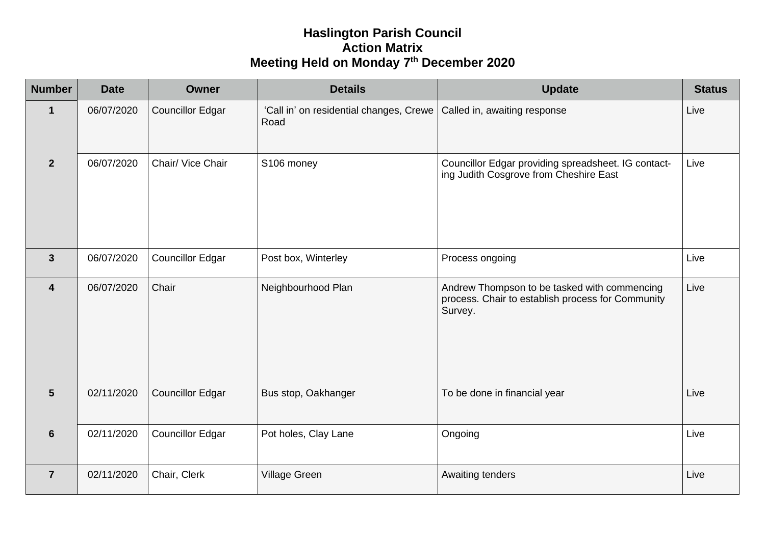## **Haslington Parish Council Action Matrix Meeting Held on Monday 7 th December 2020**

| <b>Number</b>    | <b>Date</b> | Owner                   | <b>Details</b>                                  | <b>Update</b>                                                                                                | <b>Status</b> |
|------------------|-------------|-------------------------|-------------------------------------------------|--------------------------------------------------------------------------------------------------------------|---------------|
| $\mathbf 1$      | 06/07/2020  | <b>Councillor Edgar</b> | 'Call in' on residential changes, Crewe<br>Road | Called in, awaiting response                                                                                 | Live          |
| $\overline{2}$   | 06/07/2020  | Chair/ Vice Chair       | S106 money                                      | Councillor Edgar providing spreadsheet. IG contact-<br>ing Judith Cosgrove from Cheshire East                | Live          |
| $\mathbf{3}$     | 06/07/2020  | <b>Councillor Edgar</b> | Post box, Winterley                             | Process ongoing                                                                                              | Live          |
| $\boldsymbol{4}$ | 06/07/2020  | Chair                   | Neighbourhood Plan                              | Andrew Thompson to be tasked with commencing<br>process. Chair to establish process for Community<br>Survey. | Live          |
| $5\phantom{1}$   | 02/11/2020  | <b>Councillor Edgar</b> | Bus stop, Oakhanger                             | To be done in financial year                                                                                 | Live          |
| $6\phantom{1}6$  | 02/11/2020  | <b>Councillor Edgar</b> | Pot holes, Clay Lane                            | Ongoing                                                                                                      | Live          |
| $\overline{7}$   | 02/11/2020  | Chair, Clerk            | Village Green                                   | Awaiting tenders                                                                                             | Live          |